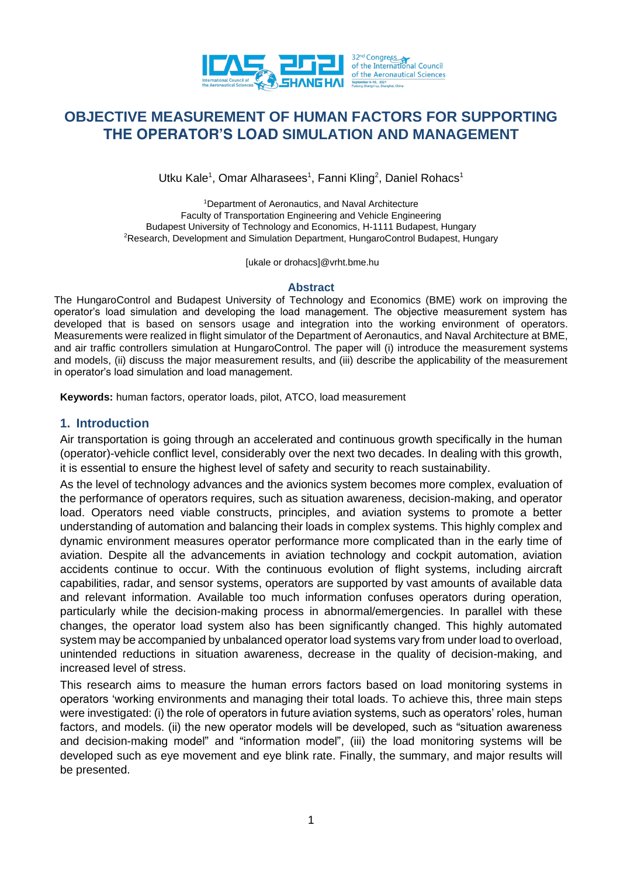

# **OBJECTIVE MEASUREMENT OF HUMAN FACTORS FOR SUPPORTING THE OPERATOR'S LOAD SIMULATION AND MANAGEMENT**

Utku Kale<sup>1</sup>, Omar Alharasees<sup>1</sup>, Fanni Kling<sup>2</sup>, Daniel Rohacs<sup>1</sup>

<sup>1</sup>Department of Aeronautics, and Naval Architecture Faculty of Transportation Engineering and Vehicle Engineering Budapest University of Technology and Economics, H-1111 Budapest, Hungary <sup>2</sup>Research, Development and Simulation Department, HungaroControl Budapest, Hungary

[ukale or drohacs]@vrht.bme.hu

#### **Abstract**

The HungaroControl and Budapest University of Technology and Economics (BME) work on improving the operator's load simulation and developing the load management. The objective measurement system has developed that is based on sensors usage and integration into the working environment of operators. Measurements were realized in flight simulator of the Department of Aeronautics, and Naval Architecture at BME, and air traffic controllers simulation at HungaroControl. The paper will (i) introduce the measurement systems and models, (ii) discuss the major measurement results, and (iii) describe the applicability of the measurement in operator's load simulation and load management.

**Keywords:** human factors, operator loads, pilot, ATCO, load measurement

#### **1. Introduction**

Air transportation is going through an accelerated and continuous growth specifically in the human (operator)-vehicle conflict level, considerably over the next two decades. In dealing with this growth, it is essential to ensure the highest level of safety and security to reach sustainability.

As the level of technology advances and the avionics system becomes more complex, evaluation of the performance of operators requires, such as situation awareness, decision-making, and operator load. Operators need viable constructs, principles, and aviation systems to promote a better understanding of automation and balancing their loads in complex systems. This highly complex and dynamic environment measures operator performance more complicated than in the early time of aviation. Despite all the advancements in aviation technology and cockpit automation, aviation accidents continue to occur. With the continuous evolution of flight systems, including aircraft capabilities, radar, and sensor systems, operators are supported by vast amounts of available data and relevant information. Available too much information confuses operators during operation, particularly while the decision-making process in abnormal/emergencies. In parallel with these changes, the operator load system also has been significantly changed. This highly automated system may be accompanied by unbalanced operator load systems vary from under load to overload, unintended reductions in situation awareness, decrease in the quality of decision-making, and increased level of stress.

This research aims to measure the human errors factors based on load monitoring systems in operators 'working environments and managing their total loads. To achieve this, three main steps were investigated: (i) the role of operators in future aviation systems, such as operators' roles, human factors, and models. (ii) the new operator models will be developed, such as "situation awareness and decision-making model" and "information model", (iii) the load monitoring systems will be developed such as eye movement and eye blink rate. Finally, the summary, and major results will be presented.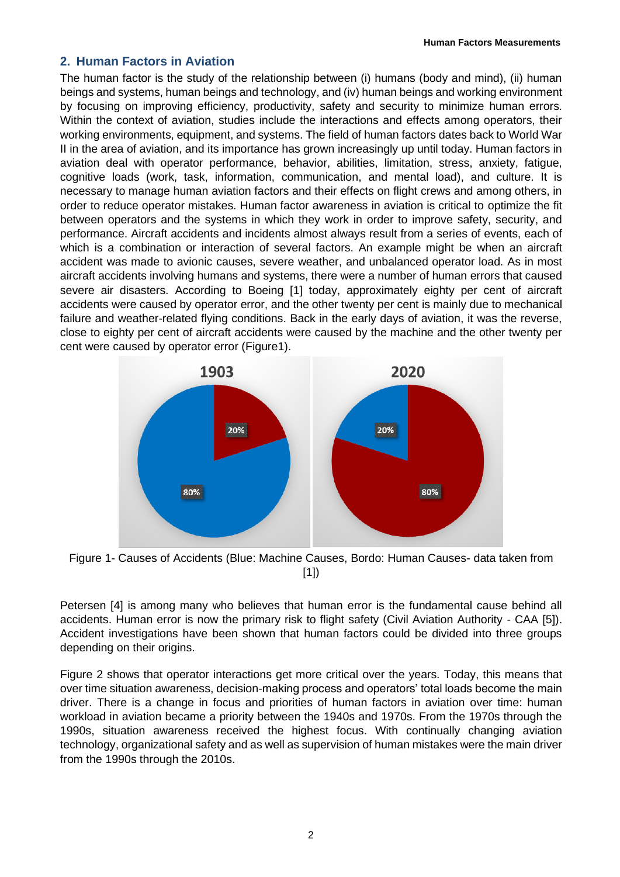#### **2. Human Factors in Aviation**

The human factor is the study of the relationship between (i) humans (body and mind), (ii) human beings and systems, human beings and technology, and (iv) human beings and working environment by focusing on improving efficiency, productivity, safety and security to minimize human errors. Within the context of aviation, studies include the interactions and effects among operators, their working environments, equipment, and systems. The field of human factors dates back to World War II in the area of aviation, and its importance has grown increasingly up until today. Human factors in aviation deal with operator performance, behavior, abilities, limitation, stress, anxiety, fatigue, cognitive loads (work, task, information, communication, and mental load), and culture. It is necessary to manage human aviation factors and their effects on flight crews and among others, in order to reduce operator mistakes. Human factor awareness in aviation is critical to optimize the fit between operators and the systems in which they work in order to improve safety, security, and performance. Aircraft accidents and incidents almost always result from a series of events, each of which is a combination or interaction of several factors. An example might be when an aircraft accident was made to avionic causes, severe weather, and unbalanced operator load. As in most aircraft accidents involving humans and systems, there were a number of human errors that caused severe air disasters. According to Boeing [1] today, approximately eighty per cent of aircraft accidents were caused by operator error, and the other twenty per cent is mainly due to mechanical failure and weather-related flying conditions. Back in the early days of aviation, it was the reverse, close to eighty per cent of aircraft accidents were caused by the machine and the other twenty per cent were caused by operator error (Figure1).



Figure 1- Causes of Accidents (Blue: Machine Causes, Bordo: Human Causes- data taken from [1])

Petersen [4] is among many who believes that human error is the fundamental cause behind all accidents. Human error is now the primary risk to flight safety (Civil Aviation Authority - CAA [5]). Accident investigations have been shown that human factors could be divided into three groups depending on their origins.

Figure 2 shows that operator interactions get more critical over the years. Today, this means that over time situation awareness, decision-making process and operators' total loads become the main driver. There is a change in focus and priorities of human factors in aviation over time: human workload in aviation became a priority between the 1940s and 1970s. From the 1970s through the 1990s, situation awareness received the highest focus. With continually changing aviation technology, organizational safety and as well as supervision of human mistakes were the main driver from the 1990s through the 2010s.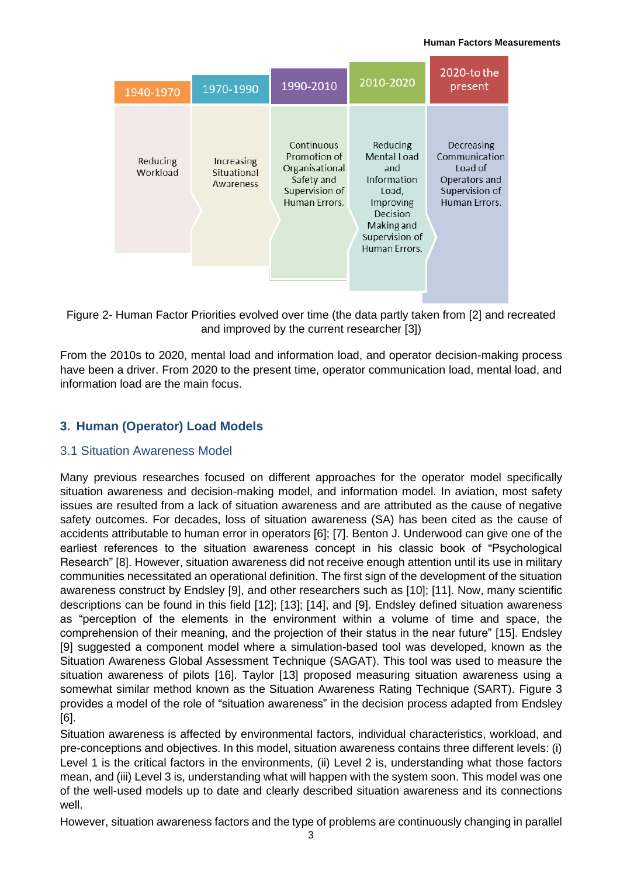| 1940-1970            | 1970-1990                                     | 1990-2010                                                                                     | 2010-2020                                                                                                                        | $2020$ -to the<br>present                                                                  |
|----------------------|-----------------------------------------------|-----------------------------------------------------------------------------------------------|----------------------------------------------------------------------------------------------------------------------------------|--------------------------------------------------------------------------------------------|
| Reducing<br>Workload | <b>Increasing</b><br>Situational<br>Awareness | Continuous<br>Promotion of<br>Organisational<br>Safety and<br>Supervision of<br>Human Errors. | Reducing<br>Mental Load<br>and<br>Information<br>Load,<br>Improving<br>Decision<br>Making and<br>Supervision of<br>Human Errors. | Decreasing<br>Communication<br>Load of<br>Operators and<br>Supervision of<br>Human Errors. |

Figure 2- Human Factor Priorities evolved over time (the data partly taken from [2] and recreated and improved by the current researcher [3])

From the 2010s to 2020, mental load and information load, and operator decision-making process have been a driver. From 2020 to the present time, operator communication load, mental load, and information load are the main focus.

# **3. Human (Operator) Load Models**

### 3.1 Situation Awareness Model

Many previous researches focused on different approaches for the operator model specifically situation awareness and decision-making model, and information model. In aviation, most safety issues are resulted from a lack of situation awareness and are attributed as the cause of negative safety outcomes. For decades, loss of situation awareness (SA) has been cited as the cause of accidents attributable to human error in operators [6]; [7]. Benton J. Underwood can give one of the earliest references to the situation awareness concept in his classic book of "Psychological Research" [8]. However, situation awareness did not receive enough attention until its use in military communities necessitated an operational definition. The first sign of the development of the situation awareness construct by Endsley [9], and other researchers such as [10]; [11]. Now, many scientific descriptions can be found in this field [12]; [13]; [14], and [9]. Endsley defined situation awareness as "perception of the elements in the environment within a volume of time and space, the comprehension of their meaning, and the projection of their status in the near future" [15]. Endsley [9] suggested a component model where a simulation-based tool was developed, known as the Situation Awareness Global Assessment Technique (SAGAT). This tool was used to measure the situation awareness of pilots [16]. Taylor [13] proposed measuring situation awareness using a somewhat similar method known as the Situation Awareness Rating Technique (SART). Figure 3 provides a model of the role of "situation awareness" in the decision process adapted from Endsley [6].

Situation awareness is affected by environmental factors, individual characteristics, workload, and pre-conceptions and objectives. In this model, situation awareness contains three different levels: (i) Level 1 is the critical factors in the environments, (ii) Level 2 is, understanding what those factors mean, and (iii) Level 3 is, understanding what will happen with the system soon. This model was one of the well-used models up to date and clearly described situation awareness and its connections well.

However, situation awareness factors and the type of problems are continuously changing in parallel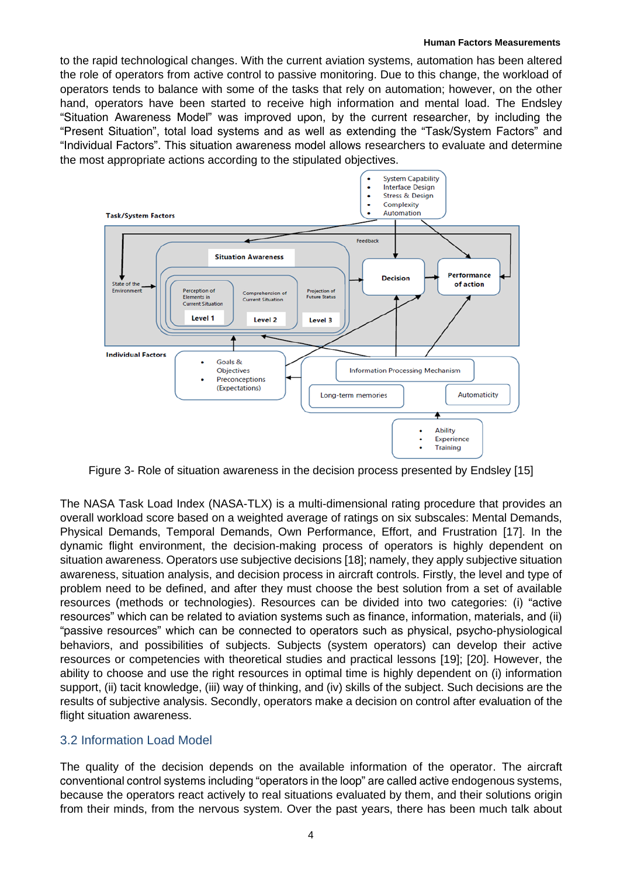to the rapid technological changes. With the current aviation systems, automation has been altered the role of operators from active control to passive monitoring. Due to this change, the workload of operators tends to balance with some of the tasks that rely on automation; however, on the other hand, operators have been started to receive high information and mental load. The Endsley "Situation Awareness Model" was improved upon, by the current researcher, by including the "Present Situation", total load systems and as well as extending the "Task/System Factors" and "Individual Factors". This situation awareness model allows researchers to evaluate and determine the most appropriate actions according to the stipulated objectives.



Figure 3- Role of situation awareness in the decision process presented by Endsley [15]

The NASA Task Load Index (NASA-TLX) is a multi-dimensional rating procedure that provides an overall workload score based on a weighted average of ratings on six subscales: Mental Demands, Physical Demands, Temporal Demands, Own Performance, Effort, and Frustration [17]. In the dynamic flight environment, the decision-making process of operators is highly dependent on situation awareness. Operators use subjective decisions [18]; namely, they apply subjective situation awareness, situation analysis, and decision process in aircraft controls. Firstly, the level and type of problem need to be defined, and after they must choose the best solution from a set of available resources (methods or technologies). Resources can be divided into two categories: (i) "active resources" which can be related to aviation systems such as finance, information, materials, and (ii) "passive resources" which can be connected to operators such as physical, psycho-physiological behaviors, and possibilities of subjects. Subjects (system operators) can develop their active resources or competencies with theoretical studies and practical lessons [19]; [20]. However, the ability to choose and use the right resources in optimal time is highly dependent on (i) information support, (ii) tacit knowledge, (iii) way of thinking, and (iv) skills of the subject. Such decisions are the results of subjective analysis. Secondly, operators make a decision on control after evaluation of the flight situation awareness.

### 3.2 Information Load Model

The quality of the decision depends on the available information of the operator. The aircraft conventional control systems including "operators in the loop" are called active endogenous systems, because the operators react actively to real situations evaluated by them, and their solutions origin from their minds, from the nervous system. Over the past years, there has been much talk about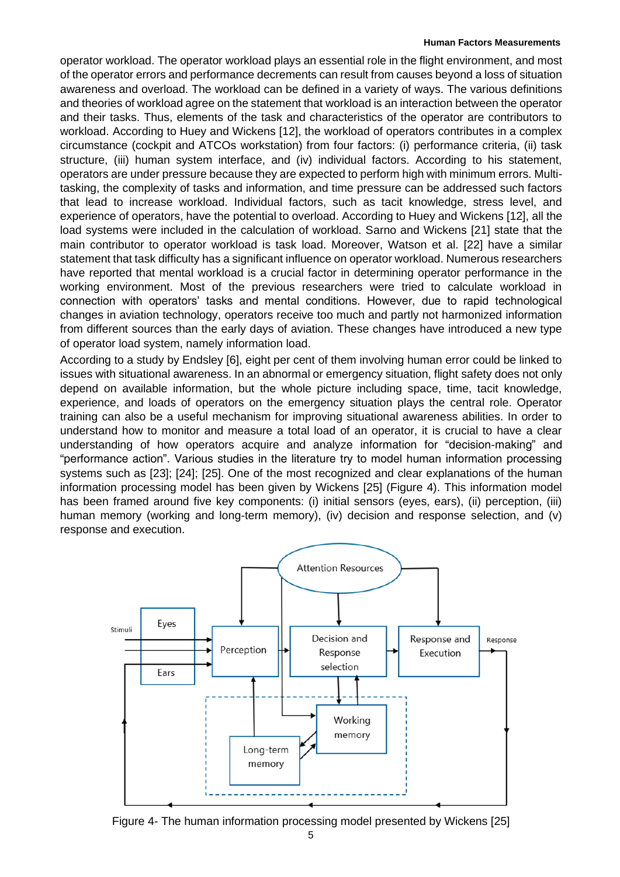operator workload. The operator workload plays an essential role in the flight environment, and most of the operator errors and performance decrements can result from causes beyond a loss of situation awareness and overload. The workload can be defined in a variety of ways. The various definitions and theories of workload agree on the statement that workload is an interaction between the operator and their tasks. Thus, elements of the task and characteristics of the operator are contributors to workload. According to Huey and Wickens [12], the workload of operators contributes in a complex circumstance (cockpit and ATCOs workstation) from four factors: (i) performance criteria, (ii) task structure, (iii) human system interface, and (iv) individual factors. According to his statement, operators are under pressure because they are expected to perform high with minimum errors. Multitasking, the complexity of tasks and information, and time pressure can be addressed such factors that lead to increase workload. Individual factors, such as tacit knowledge, stress level, and experience of operators, have the potential to overload. According to Huey and Wickens [12], all the load systems were included in the calculation of workload. Sarno and Wickens [21] state that the main contributor to operator workload is task load. Moreover, Watson et al. [22] have a similar statement that task difficulty has a significant influence on operator workload. Numerous researchers have reported that mental workload is a crucial factor in determining operator performance in the working environment. Most of the previous researchers were tried to calculate workload in connection with operators' tasks and mental conditions. However, due to rapid technological changes in aviation technology, operators receive too much and partly not harmonized information from different sources than the early days of aviation. These changes have introduced a new type of operator load system, namely information load.

According to a study by Endsley [6], eight per cent of them involving human error could be linked to issues with situational awareness. In an abnormal or emergency situation, flight safety does not only depend on available information, but the whole picture including space, time, tacit knowledge, experience, and loads of operators on the emergency situation plays the central role. Operator training can also be a useful mechanism for improving situational awareness abilities. In order to understand how to monitor and measure a total load of an operator, it is crucial to have a clear understanding of how operators acquire and analyze information for "decision-making" and "performance action". Various studies in the literature try to model human information processing systems such as [23]; [24]; [25]. One of the most recognized and clear explanations of the human information processing model has been given by Wickens [25] (Figure 4). This information model has been framed around five key components: (i) initial sensors (eyes, ears), (ii) perception, (iii) human memory (working and long-term memory), (iv) decision and response selection, and (v) response and execution.



Figure 4- The human information processing model presented by Wickens [25]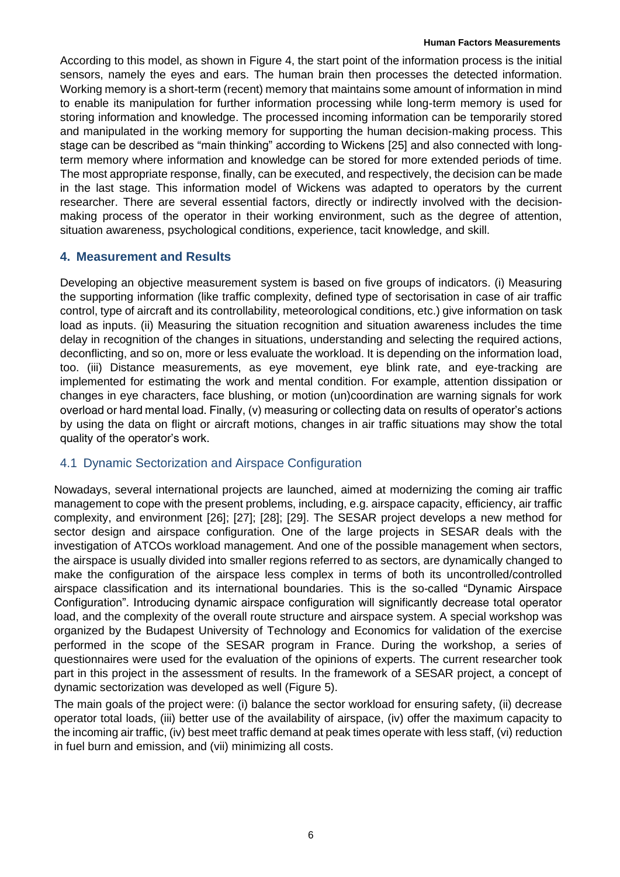According to this model, as shown in Figure 4, the start point of the information process is the initial sensors, namely the eyes and ears. The human brain then processes the detected information. Working memory is a short-term (recent) memory that maintains some amount of information in mind to enable its manipulation for further information processing while long-term memory is used for storing information and knowledge. The processed incoming information can be temporarily stored and manipulated in the working memory for supporting the human decision-making process. This stage can be described as "main thinking" according to Wickens [25] and also connected with longterm memory where information and knowledge can be stored for more extended periods of time. The most appropriate response, finally, can be executed, and respectively, the decision can be made in the last stage. This information model of Wickens was adapted to operators by the current researcher. There are several essential factors, directly or indirectly involved with the decisionmaking process of the operator in their working environment, such as the degree of attention, situation awareness, psychological conditions, experience, tacit knowledge, and skill.

### **4. Measurement and Results**

Developing an objective measurement system is based on five groups of indicators. (i) Measuring the supporting information (like traffic complexity, defined type of sectorisation in case of air traffic control, type of aircraft and its controllability, meteorological conditions, etc.) give information on task load as inputs. (ii) Measuring the situation recognition and situation awareness includes the time delay in recognition of the changes in situations, understanding and selecting the required actions, deconflicting, and so on, more or less evaluate the workload. It is depending on the information load, too. (iii) Distance measurements, as eye movement, eye blink rate, and eye-tracking are implemented for estimating the work and mental condition. For example, attention dissipation or changes in eye characters, face blushing, or motion (un)coordination are warning signals for work overload or hard mental load. Finally, (v) measuring or collecting data on results of operator's actions by using the data on flight or aircraft motions, changes in air traffic situations may show the total quality of the operator's work.

### 4.1 Dynamic Sectorization and Airspace Configuration

Nowadays, several international projects are launched, aimed at modernizing the coming air traffic management to cope with the present problems, including, e.g. airspace capacity, efficiency, air traffic complexity, and environment [26]; [27]; [28]; [29]. The SESAR project develops a new method for sector design and airspace configuration. One of the large projects in SESAR deals with the investigation of ATCOs workload management. And one of the possible management when sectors, the airspace is usually divided into smaller regions referred to as sectors, are dynamically changed to make the configuration of the airspace less complex in terms of both its uncontrolled/controlled airspace classification and its international boundaries. This is the so-called "Dynamic Airspace Configuration". Introducing dynamic airspace configuration will significantly decrease total operator load, and the complexity of the overall route structure and airspace system. A special workshop was organized by the Budapest University of Technology and Economics for validation of the exercise performed in the scope of the SESAR program in France. During the workshop, a series of questionnaires were used for the evaluation of the opinions of experts. The current researcher took part in this project in the assessment of results. In the framework of a SESAR project, a concept of dynamic sectorization was developed as well (Figure 5).

The main goals of the project were: (i) balance the sector workload for ensuring safety, (ii) decrease operator total loads, (iii) better use of the availability of airspace, (iv) offer the maximum capacity to the incoming air traffic, (iv) best meet traffic demand at peak times operate with less staff, (vi) reduction in fuel burn and emission, and (vii) minimizing all costs.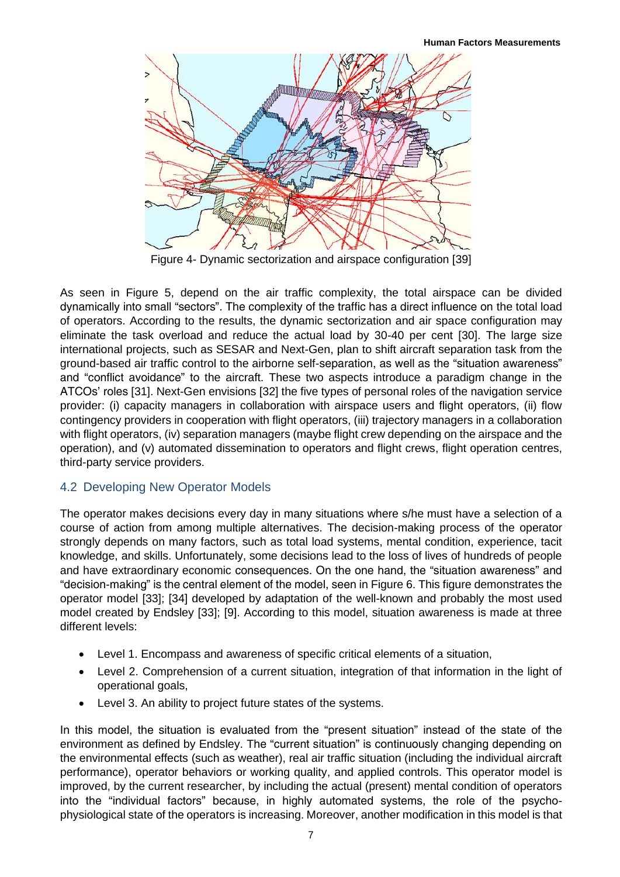

Figure 4- Dynamic sectorization and airspace configuration [39]

As seen in Figure 5, depend on the air traffic complexity, the total airspace can be divided dynamically into small "sectors". The complexity of the traffic has a direct influence on the total load of operators. According to the results, the dynamic sectorization and air space configuration may eliminate the task overload and reduce the actual load by 30-40 per cent [30]. The large size international projects, such as SESAR and Next-Gen, plan to shift aircraft separation task from the ground-based air traffic control to the airborne self-separation, as well as the "situation awareness" and "conflict avoidance" to the aircraft. These two aspects introduce a paradigm change in the ATCOs' roles [31]. Next-Gen envisions [32] the five types of personal roles of the navigation service provider: (i) capacity managers in collaboration with airspace users and flight operators, (ii) flow contingency providers in cooperation with flight operators, (iii) trajectory managers in a collaboration with flight operators, (iv) separation managers (maybe flight crew depending on the airspace and the operation), and (v) automated dissemination to operators and flight crews, flight operation centres, third-party service providers.

# 4.2 Developing New Operator Models

The operator makes decisions every day in many situations where s/he must have a selection of a course of action from among multiple alternatives. The decision-making process of the operator strongly depends on many factors, such as total load systems, mental condition, experience, tacit knowledge, and skills. Unfortunately, some decisions lead to the loss of lives of hundreds of people and have extraordinary economic consequences. On the one hand, the "situation awareness" and "decision-making" is the central element of the model, seen in Figure 6. This figure demonstrates the operator model [33]; [34] developed by adaptation of the well-known and probably the most used model created by Endsley [33]; [9]. According to this model, situation awareness is made at three different levels:

- Level 1. Encompass and awareness of specific critical elements of a situation,
- Level 2. Comprehension of a current situation, integration of that information in the light of operational goals,
- Level 3. An ability to project future states of the systems.

In this model, the situation is evaluated from the "present situation" instead of the state of the environment as defined by Endsley. The "current situation" is continuously changing depending on the environmental effects (such as weather), real air traffic situation (including the individual aircraft performance), operator behaviors or working quality, and applied controls. This operator model is improved, by the current researcher, by including the actual (present) mental condition of operators into the "individual factors" because, in highly automated systems, the role of the psychophysiological state of the operators is increasing. Moreover, another modification in this model is that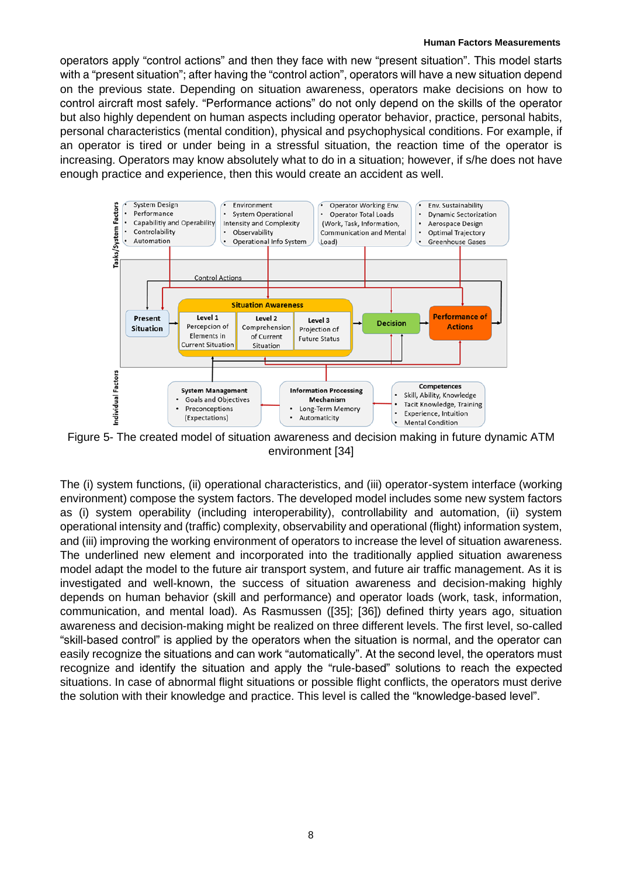operators apply "control actions" and then they face with new "present situation". This model starts with a "present situation"; after having the "control action", operators will have a new situation depend on the previous state. Depending on situation awareness, operators make decisions on how to control aircraft most safely. "Performance actions" do not only depend on the skills of the operator but also highly dependent on human aspects including operator behavior, practice, personal habits, personal characteristics (mental condition), physical and psychophysical conditions. For example, if an operator is tired or under being in a stressful situation, the reaction time of the operator is increasing. Operators may know absolutely what to do in a situation; however, if s/he does not have enough practice and experience, then this would create an accident as well.



Figure 5- The created model of situation awareness and decision making in future dynamic ATM environment [34]

The (i) system functions, (ii) operational characteristics, and (iii) operator-system interface (working environment) compose the system factors. The developed model includes some new system factors as (i) system operability (including interoperability), controllability and automation, (ii) system operational intensity and (traffic) complexity, observability and operational (flight) information system, and (iii) improving the working environment of operators to increase the level of situation awareness. The underlined new element and incorporated into the traditionally applied situation awareness model adapt the model to the future air transport system, and future air traffic management. As it is investigated and well-known, the success of situation awareness and decision-making highly depends on human behavior (skill and performance) and operator loads (work, task, information, communication, and mental load). As Rasmussen ([35]; [36]) defined thirty years ago, situation awareness and decision-making might be realized on three different levels. The first level, so-called "skill-based control" is applied by the operators when the situation is normal, and the operator can easily recognize the situations and can work "automatically". At the second level, the operators must recognize and identify the situation and apply the "rule-based" solutions to reach the expected situations. In case of abnormal flight situations or possible flight conflicts, the operators must derive the solution with their knowledge and practice. This level is called the "knowledge-based level".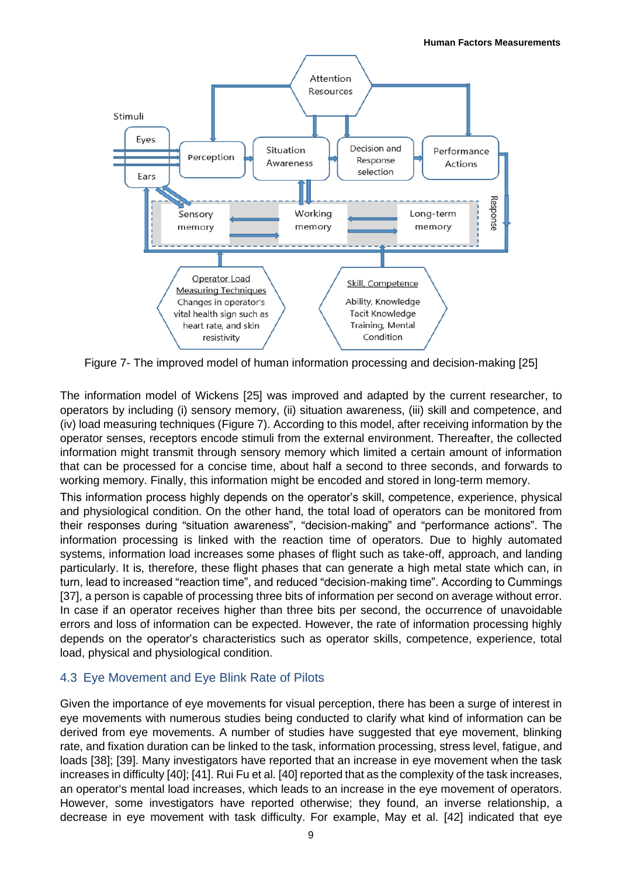

Figure 7- The improved model of human information processing and decision-making [25]

The information model of Wickens [25] was improved and adapted by the current researcher, to operators by including (i) sensory memory, (ii) situation awareness, (iii) skill and competence, and (iv) load measuring techniques (Figure 7). According to this model, after receiving information by the operator senses, receptors encode stimuli from the external environment. Thereafter, the collected information might transmit through sensory memory which limited a certain amount of information that can be processed for a concise time, about half a second to three seconds, and forwards to working memory. Finally, this information might be encoded and stored in long-term memory.

This information process highly depends on the operator's skill, competence, experience, physical and physiological condition. On the other hand, the total load of operators can be monitored from their responses during "situation awareness", "decision-making" and "performance actions". The information processing is linked with the reaction time of operators. Due to highly automated systems, information load increases some phases of flight such as take-off, approach, and landing particularly. It is, therefore, these flight phases that can generate a high metal state which can, in turn, lead to increased "reaction time", and reduced "decision-making time". According to Cummings [37], a person is capable of processing three bits of information per second on average without error. In case if an operator receives higher than three bits per second, the occurrence of unavoidable errors and loss of information can be expected. However, the rate of information processing highly depends on the operator's characteristics such as operator skills, competence, experience, total load, physical and physiological condition.

### 4.3 Eye Movement and Eye Blink Rate of Pilots

Given the importance of eye movements for visual perception, there has been a surge of interest in eye movements with numerous studies being conducted to clarify what kind of information can be derived from eye movements. A number of studies have suggested that eye movement, blinking rate, and fixation duration can be linked to the task, information processing, stress level, fatigue, and loads [38]; [39]. Many investigators have reported that an increase in eye movement when the task increases in difficulty [40]; [41]. Rui Fu et al. [40] reported that as the complexity of the task increases, an operator's mental load increases, which leads to an increase in the eye movement of operators. However, some investigators have reported otherwise; they found, an inverse relationship, a decrease in eye movement with task difficulty. For example, May et al. [42] indicated that eye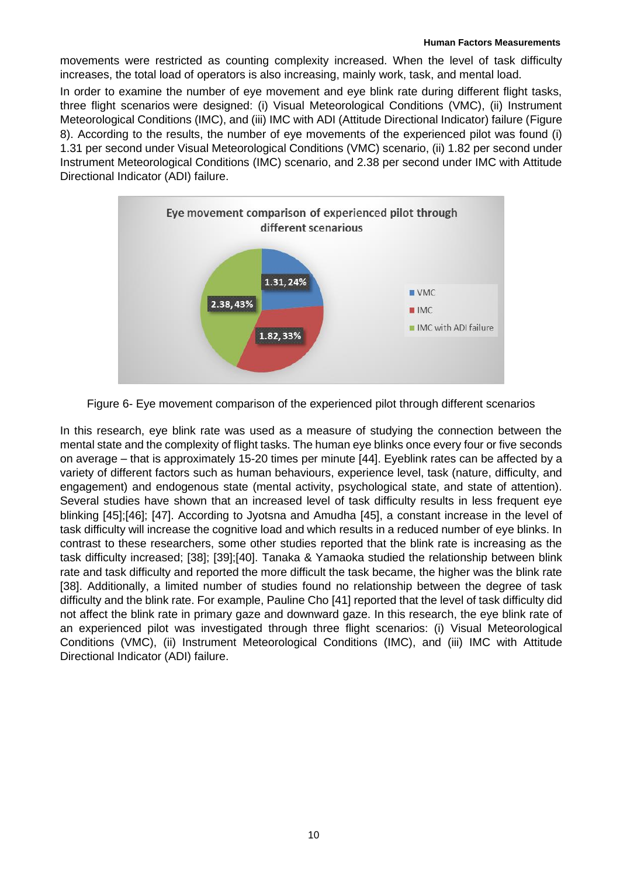movements were restricted as counting complexity increased. When the level of task difficulty increases, the total load of operators is also increasing, mainly work, task, and mental load.

In order to examine the number of eye movement and eye blink rate during different flight tasks, three flight scenarios were designed: (i) Visual Meteorological Conditions (VMC), (ii) Instrument Meteorological Conditions (IMC), and (iii) IMC with ADI (Attitude Directional Indicator) failure (Figure 8). According to the results, the number of eye movements of the experienced pilot was found (i) 1.31 per second under Visual Meteorological Conditions (VMC) scenario, (ii) 1.82 per second under Instrument Meteorological Conditions (IMC) scenario, and 2.38 per second under IMC with Attitude Directional Indicator (ADI) failure.



Figure 6- Eye movement comparison of the experienced pilot through different scenarios

In this research, eye blink rate was used as a measure of studying the connection between the mental state and the complexity of flight tasks. The human eye blinks once every four or five seconds on average – that is approximately 15-20 times per minute [44]. Eyeblink rates can be affected by a variety of different factors such as human behaviours, experience level, task (nature, difficulty, and engagement) and endogenous state (mental activity, psychological state, and state of attention). Several studies have shown that an increased level of task difficulty results in less frequent eye blinking [45];[46]; [47]. According to Jyotsna and Amudha [45], a constant increase in the level of task difficulty will increase the cognitive load and which results in a reduced number of eye blinks. In contrast to these researchers, some other studies reported that the blink rate is increasing as the task difficulty increased; [38]; [39];[40]. Tanaka & Yamaoka studied the relationship between blink rate and task difficulty and reported the more difficult the task became, the higher was the blink rate [38]. Additionally, a limited number of studies found no relationship between the degree of task difficulty and the blink rate. For example, Pauline Cho [41] reported that the level of task difficulty did not affect the blink rate in primary gaze and downward gaze. In this research, the eye blink rate of an experienced pilot was investigated through three flight scenarios: (i) Visual Meteorological Conditions (VMC), (ii) Instrument Meteorological Conditions (IMC), and (iii) IMC with Attitude Directional Indicator (ADI) failure.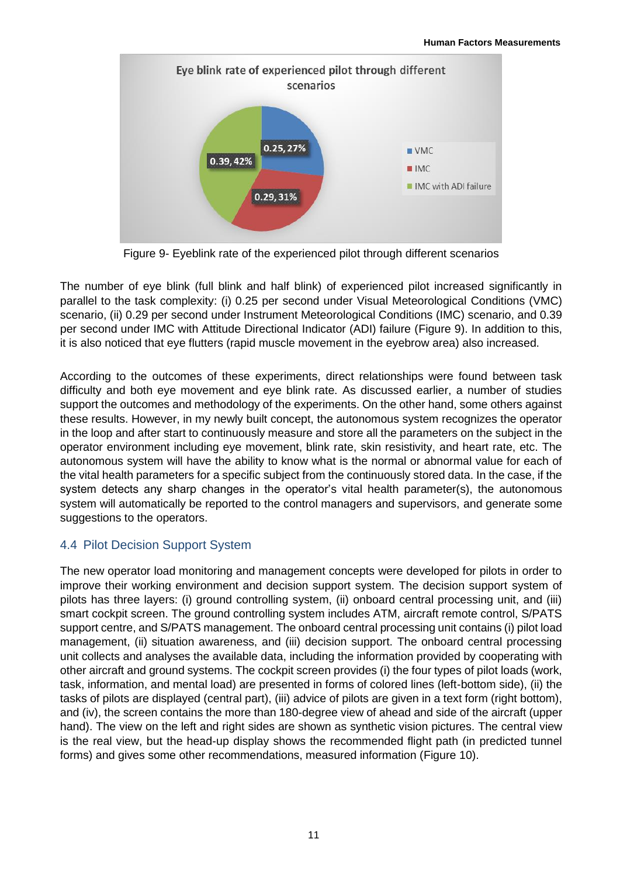

Figure 9- Eyeblink rate of the experienced pilot through different scenarios

The number of eye blink (full blink and half blink) of experienced pilot increased significantly in parallel to the task complexity: (i) 0.25 per second under Visual Meteorological Conditions (VMC) scenario, (ii) 0.29 per second under Instrument Meteorological Conditions (IMC) scenario, and 0.39 per second under IMC with Attitude Directional Indicator (ADI) failure (Figure 9). In addition to this, it is also noticed that eye flutters (rapid muscle movement in the eyebrow area) also increased.

According to the outcomes of these experiments, direct relationships were found between task difficulty and both eye movement and eye blink rate. As discussed earlier, a number of studies support the outcomes and methodology of the experiments. On the other hand, some others against these results. However, in my newly built concept, the autonomous system recognizes the operator in the loop and after start to continuously measure and store all the parameters on the subject in the operator environment including eye movement, blink rate, skin resistivity, and heart rate, etc. The autonomous system will have the ability to know what is the normal or abnormal value for each of the vital health parameters for a specific subject from the continuously stored data. In the case, if the system detects any sharp changes in the operator's vital health parameter(s), the autonomous system will automatically be reported to the control managers and supervisors, and generate some suggestions to the operators.

# 4.4 Pilot Decision Support System

The new operator load monitoring and management concepts were developed for pilots in order to improve their working environment and decision support system. The decision support system of pilots has three layers: (i) ground controlling system, (ii) onboard central processing unit, and (iii) smart cockpit screen. The ground controlling system includes ATM, aircraft remote control, S/PATS support centre, and S/PATS management. The onboard central processing unit contains (i) pilot load management, (ii) situation awareness, and (iii) decision support. The onboard central processing unit collects and analyses the available data, including the information provided by cooperating with other aircraft and ground systems. The cockpit screen provides (i) the four types of pilot loads (work, task, information, and mental load) are presented in forms of colored lines (left-bottom side), (ii) the tasks of pilots are displayed (central part), (iii) advice of pilots are given in a text form (right bottom), and (iv), the screen contains the more than 180-degree view of ahead and side of the aircraft (upper hand). The view on the left and right sides are shown as synthetic vision pictures. The central view is the real view, but the head-up display shows the recommended flight path (in predicted tunnel forms) and gives some other recommendations, measured information (Figure 10).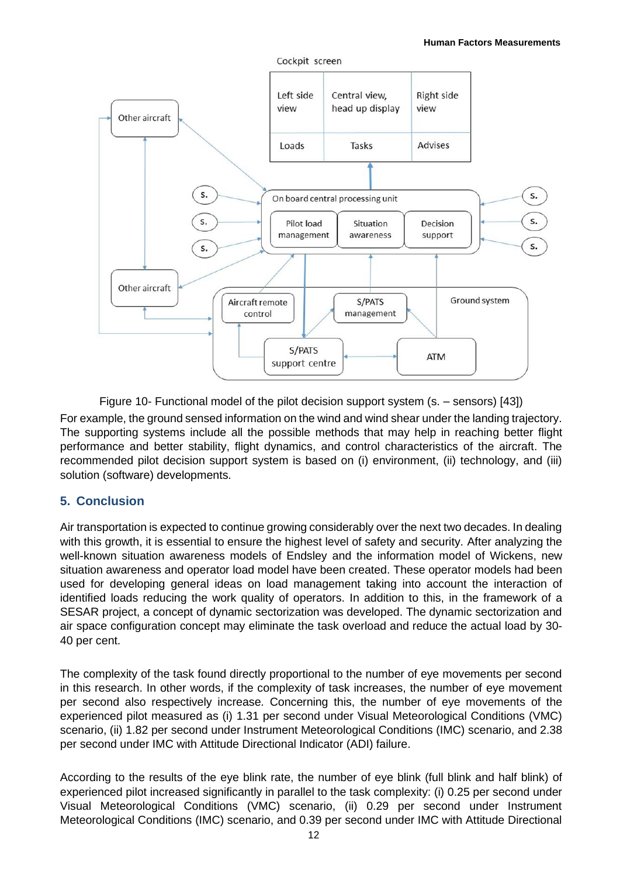

Figure 10- Functional model of the pilot decision support system (s. – sensors) [43])

For example, the ground sensed information on the wind and wind shear under the landing trajectory. The supporting systems include all the possible methods that may help in reaching better flight performance and better stability, flight dynamics, and control characteristics of the aircraft. The recommended pilot decision support system is based on (i) environment, (ii) technology, and (iii) solution (software) developments.

### **5. Conclusion**

Air transportation is expected to continue growing considerably over the next two decades. In dealing with this growth, it is essential to ensure the highest level of safety and security. After analyzing the well-known situation awareness models of Endsley and the information model of Wickens, new situation awareness and operator load model have been created. These operator models had been used for developing general ideas on load management taking into account the interaction of identified loads reducing the work quality of operators. In addition to this, in the framework of a SESAR project, a concept of dynamic sectorization was developed. The dynamic sectorization and air space configuration concept may eliminate the task overload and reduce the actual load by 30- 40 per cent.

The complexity of the task found directly proportional to the number of eye movements per second in this research. In other words, if the complexity of task increases, the number of eye movement per second also respectively increase. Concerning this, the number of eye movements of the experienced pilot measured as (i) 1.31 per second under Visual Meteorological Conditions (VMC) scenario, (ii) 1.82 per second under Instrument Meteorological Conditions (IMC) scenario, and 2.38 per second under IMC with Attitude Directional Indicator (ADI) failure.

According to the results of the eye blink rate, the number of eye blink (full blink and half blink) of experienced pilot increased significantly in parallel to the task complexity: (i) 0.25 per second under Visual Meteorological Conditions (VMC) scenario, (ii) 0.29 per second under Instrument Meteorological Conditions (IMC) scenario, and 0.39 per second under IMC with Attitude Directional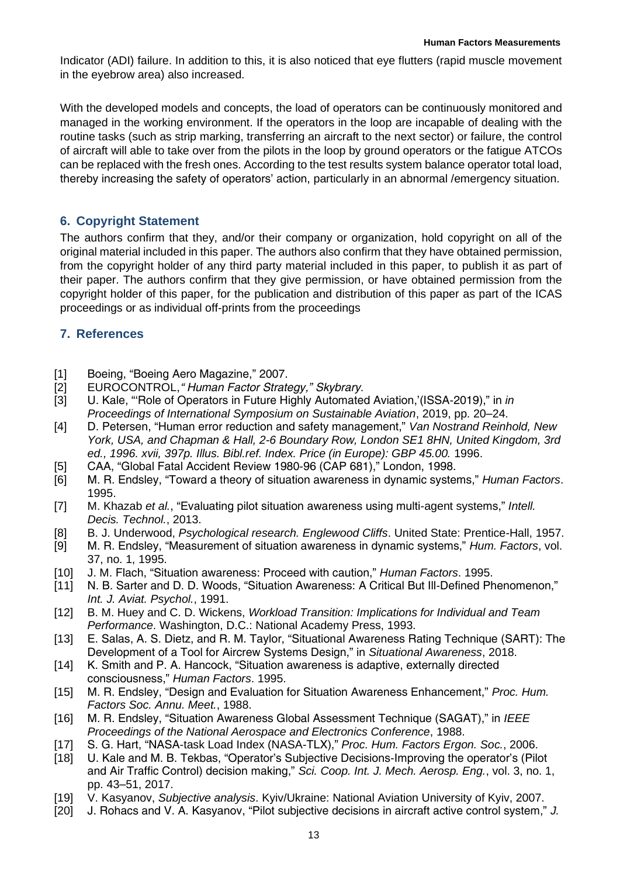Indicator (ADI) failure. In addition to this, it is also noticed that eye flutters (rapid muscle movement in the eyebrow area) also increased.

With the developed models and concepts, the load of operators can be continuously monitored and managed in the working environment. If the operators in the loop are incapable of dealing with the routine tasks (such as strip marking, transferring an aircraft to the next sector) or failure, the control of aircraft will able to take over from the pilots in the loop by ground operators or the fatigue ATCOs can be replaced with the fresh ones. According to the test results system balance operator total load, thereby increasing the safety of operators' action, particularly in an abnormal /emergency situation.

# **6. Copyright Statement**

The authors confirm that they, and/or their company or organization, hold copyright on all of the original material included in this paper. The authors also confirm that they have obtained permission, from the copyright holder of any third party material included in this paper, to publish it as part of their paper. The authors confirm that they give permission, or have obtained permission from the copyright holder of this paper, for the publication and distribution of this paper as part of the ICAS proceedings or as individual off-prints from the proceedings

# **7. References**

- [1] Boeing, "Boeing Aero Magazine," 2007.
- [2] EUROCONTROL, *"Human Factor Strategy," Skybrary*.
- [3] U. Kale, "'Role of Operators in Future Highly Automated Aviation,'(ISSA-2019)," in *in Proceedings of International Symposium on Sustainable Aviation*, 2019, pp. 20–24.
- [4] D. Petersen, "Human error reduction and safety management," *Van Nostrand Reinhold, New York, USA, and Chapman & Hall, 2-6 Boundary Row, London SE1 8HN, United Kingdom, 3rd ed., 1996. xvii, 397p. Illus. Bibl.ref. Index. Price (in Europe): GBP 45.00.* 1996.
- [5] CAA, "Global Fatal Accident Review 1980-96 (CAP 681)," London, 1998.
- [6] M. R. Endsley, "Toward a theory of situation awareness in dynamic systems," *Human Factors*. 1995.
- [7] M. Khazab *et al.*, "Evaluating pilot situation awareness using multi-agent systems," *Intell. Decis. Technol.*, 2013.
- [8] B. J. Underwood, *Psychological research. Englewood Cliffs*. United State: Prentice-Hall, 1957.
- [9] M. R. Endsley, "Measurement of situation awareness in dynamic systems," *Hum. Factors*, vol. 37, no. 1, 1995.
- [10] J. M. Flach, "Situation awareness: Proceed with caution," *Human Factors*. 1995.
- [11] N. B. Sarter and D. D. Woods, "Situation Awareness: A Critical But III-Defined Phenomenon," *Int. J. Aviat. Psychol.*, 1991.
- [12] B. M. Huey and C. D. Wickens, *Workload Transition: Implications for Individual and Team Performance*. Washington, D.C.: National Academy Press, 1993.
- [13] E. Salas, A. S. Dietz, and R. M. Taylor, "Situational Awareness Rating Technique (SART): The Development of a Tool for Aircrew Systems Design," in *Situational Awareness*, 2018.
- [14] K. Smith and P. A. Hancock, "Situation awareness is adaptive, externally directed consciousness," *Human Factors*. 1995.
- [15] M. R. Endsley, "Design and Evaluation for Situation Awareness Enhancement," *Proc. Hum. Factors Soc. Annu. Meet.*, 1988.
- [16] M. R. Endsley, "Situation Awareness Global Assessment Technique (SAGAT)," in *IEEE Proceedings of the National Aerospace and Electronics Conference*, 1988.
- [17] S. G. Hart, "NASA-task Load Index (NASA-TLX)," *Proc. Hum. Factors Ergon. Soc.*, 2006.
- [18] U. Kale and M. B. Tekbas, "Operator's Subjective Decisions-Improving the operator's (Pilot and Air Traffic Control) decision making," *Sci. Coop. Int. J. Mech. Aerosp. Eng.*, vol. 3, no. 1, pp. 43–51, 2017.
- [19] V. Kasyanov, *Subjective analysis*. Kyiv/Ukraine: National Aviation University of Kyiv, 2007.
- [20] J. Rohacs and V. A. Kasyanov, "Pilot subjective decisions in aircraft active control system," *J.*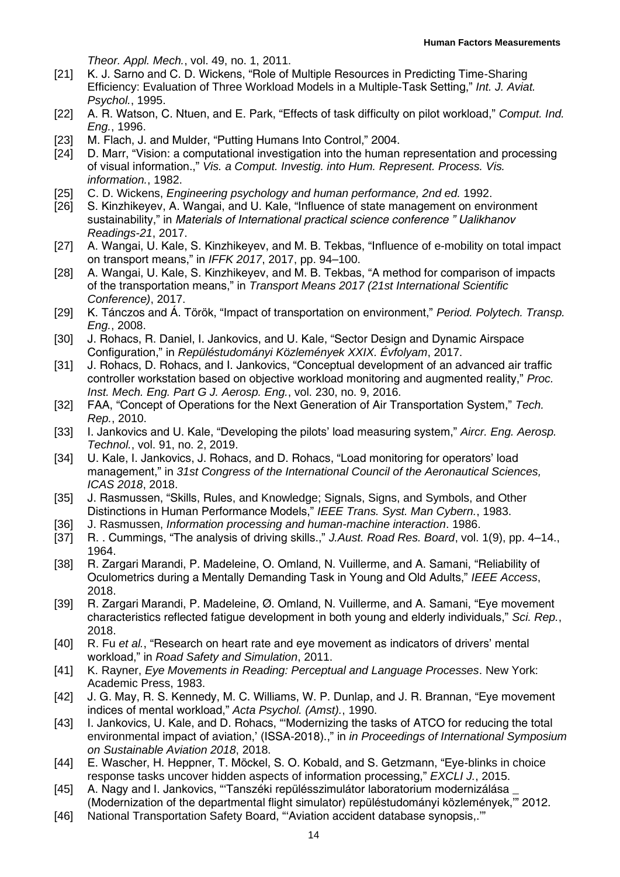*Theor. Appl. Mech.*, vol. 49, no. 1, 2011.

- [21] K. J. Sarno and C. D. Wickens, "Role of Multiple Resources in Predicting Time-Sharing Efficiency: Evaluation of Three Workload Models in a Multiple-Task Setting," *Int. J. Aviat. Psychol.*, 1995.
- [22] A. R. Watson, C. Ntuen, and E. Park, "Effects of task difficulty on pilot workload," *Comput. Ind. Eng.*, 1996.
- [23] M. Flach, J. and Mulder, "Putting Humans Into Control," 2004.
- [24] D. Marr, "Vision: a computational investigation into the human representation and processing of visual information.," *Vis. a Comput. Investig. into Hum. Represent. Process. Vis. information.*, 1982.
- [25] C. D. Wickens, *Engineering psychology and human performance, 2nd ed.* 1992.
- [26] S. Kinzhikeyev, A. Wangai, and U. Kale, "Influence of state management on environment sustainability," in *Materials of International practical science conference " Ualikhanov Readings-21*, 2017.
- [27] A. Wangai, U. Kale, S. Kinzhikeyev, and M. B. Tekbas, "Influence of e-mobility on total impact on transport means," in *IFFK 2017*, 2017, pp. 94–100.
- [28] A. Wangai, U. Kale, S. Kinzhikeyev, and M. B. Tekbas, "A method for comparison of impacts of the transportation means," in *Transport Means 2017 (21st International Scientific Conference)*, 2017.
- [29] K. Tánczos and Á. Török, "Impact of transportation on environment," *Period. Polytech. Transp. Eng.*, 2008.
- [30] J. Rohacs, R. Daniel, I. Jankovics, and U. Kale, "Sector Design and Dynamic Airspace Configuration," in *Repüléstudományi Közlemények XXIX. Évfolyam*, 2017.
- [31] J. Rohacs, D. Rohacs, and I. Jankovics, "Conceptual development of an advanced air traffic controller workstation based on objective workload monitoring and augmented reality," *Proc. Inst. Mech. Eng. Part G J. Aerosp. Eng.*, vol. 230, no. 9, 2016.
- [32] FAA, "Concept of Operations for the Next Generation of Air Transportation System," *Tech. Rep.*, 2010.
- [33] I. Jankovics and U. Kale, "Developing the pilots' load measuring system," *Aircr. Eng. Aerosp. Technol.*, vol. 91, no. 2, 2019.
- [34] U. Kale, I. Jankovics, J. Rohacs, and D. Rohacs, "Load monitoring for operators' load management," in *31st Congress of the International Council of the Aeronautical Sciences, ICAS 2018*, 2018.
- [35] J. Rasmussen, "Skills, Rules, and Knowledge; Signals, Signs, and Symbols, and Other Distinctions in Human Performance Models," *IEEE Trans. Syst. Man Cybern.*, 1983.
- [36] J. Rasmussen, *Information processing and human-machine interaction*. 1986.
- [37] R. . Cummings, "The analysis of driving skills.," *J.Aust. Road Res. Board*, vol. 1(9), pp. 4–14., 1964.
- [38] R. Zargari Marandi, P. Madeleine, O. Omland, N. Vuillerme, and A. Samani, "Reliability of Oculometrics during a Mentally Demanding Task in Young and Old Adults," *IEEE Access*, 2018.
- [39] R. Zargari Marandi, P. Madeleine, Ø. Omland, N. Vuillerme, and A. Samani, "Eye movement characteristics reflected fatigue development in both young and elderly individuals," *Sci. Rep.*, 2018.
- [40] R. Fu *et al.*, "Research on heart rate and eye movement as indicators of drivers' mental workload," in *Road Safety and Simulation*, 2011.
- [41] K. Rayner, *Eye Movements in Reading: Perceptual and Language Processes*. New York: Academic Press, 1983.
- [42] J. G. May, R. S. Kennedy, M. C. Williams, W. P. Dunlap, and J. R. Brannan, "Eye movement" indices of mental workload," *Acta Psychol. (Amst).*, 1990.
- [43] I. Jankovics, U. Kale, and D. Rohacs, "Modernizing the tasks of ATCO for reducing the total environmental impact of aviation,' (ISSA-2018).," in *in Proceedings of International Symposium on Sustainable Aviation 2018*, 2018.
- [44] E. Wascher, H. Heppner, T. Möckel, S. O. Kobald, and S. Getzmann, "Eye-blinks in choice response tasks uncover hidden aspects of information processing," *EXCLI J.*, 2015.
- [45] A. Nagy and I. Jankovics, "Tanszéki repülésszimulátor laboratorium modernizálása (Modernization of the departmental flight simulator) repüléstudományi közlemények,'" 2012.
- [46] National Transportation Safety Board, "'Aviation accident database synopsis,.'"